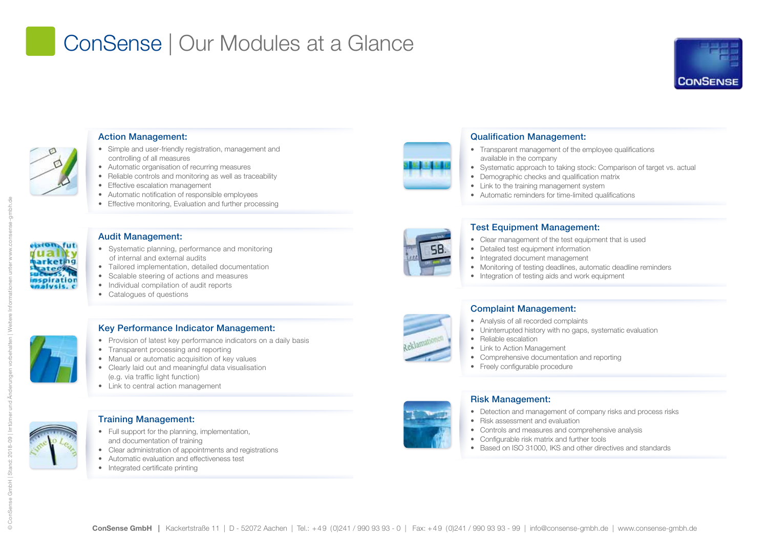# ConSense | Our Modules at a Glance





### Action Management:

- Simple and user-friendly registration, management and controlling of all measures
- Automatic organisation of recurring measures
- Reliable controls and monitoring as well as traceability
- Effective escalation management
- Automatic notification of responsible employees
- Effective monitoring, Evaluation and further processing

#### Audit Management:

- Systematic planning, performance and monitoring of internal and external audits
- Tailored implementation, detailed documentation
	- Scalable steering of actions and measures
	- Individual compilation of audit reports
	- Catalogues of questions



## Key Performance Indicator Management:

- Provision of latest key performance indicators on a daily basis
- Transparent processing and reporting
- Manual or automatic acquisition of key values
- Clearly laid out and meaningful data visualisation (e.g. via traffic light function)
- Link to central action management

## Training Management:

- Full support for the planning, implementation, and documentation of training
- Clear administration of appointments and registrations
- Automatic evaluation and effectiveness test
- Integrated certificate printing



- Transparent management of the employee qualifications available in the company
- Systematic approach to taking stock: Comparison of target vs. actual
- Demographic checks and qualification matrix
	- Link to the training management system
	- Automatic reminders for time-limited qualifications

## Test Equipment Management:

- Clear management of the test equipment that is used
- Detailed test equipment information
- Integrated document management
- Monitoring of testing deadlines, automatic deadline reminders
- Integration of testing aids and work equipment

## Complaint Management:

- Analysis of all recorded complaints
- Uninterrupted history with no gaps, systematic evaluation
- Reliable escalation
- Link to Action Management
- Comprehensive documentation and reporting
- Freely configurable procedure

### Risk Management:

- Detection and management of company risks and process risks
- Risk assessment and evaluation
- Controls and measures and comprehensive analysis
- Configurable risk matrix and further tools
- Based on ISO 31000, IKS and other directives and standards



© ConSense GmbH | Stand: 2018-09 | Irrtümer und Änderungen vorbehalten | Weitere Informationen unter www.consense-gmbh.de